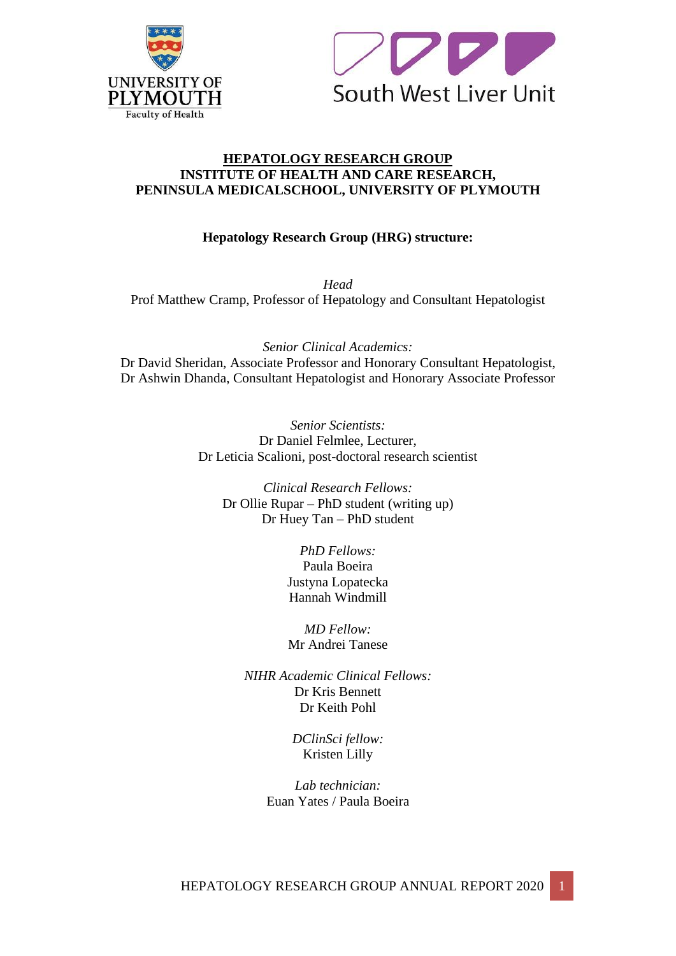



## **HEPATOLOGY RESEARCH GROUP INSTITUTE OF HEALTH AND CARE RESEARCH, PENINSULA MEDICALSCHOOL, UNIVERSITY OF PLYMOUTH**

# **Hepatology Research Group (HRG) structure:**

*Head* Prof Matthew Cramp, Professor of Hepatology and Consultant Hepatologist

*Senior Clinical Academics:* Dr David Sheridan, Associate Professor and Honorary Consultant Hepatologist, Dr Ashwin Dhanda, Consultant Hepatologist and Honorary Associate Professor

> *Senior Scientists:* Dr Daniel Felmlee, Lecturer, Dr Leticia Scalioni, post-doctoral research scientist

*Clinical Research Fellows:* Dr Ollie Rupar – PhD student (writing up) Dr Huey Tan – PhD student

> *PhD Fellows:* Paula Boeira Justyna Lopatecka Hannah Windmill

> *MD Fellow:* Mr Andrei Tanese

*NIHR Academic Clinical Fellows:* Dr Kris Bennett Dr Keith Pohl

> *DClinSci fellow:* Kristen Lilly

*Lab technician:* Euan Yates / Paula Boeira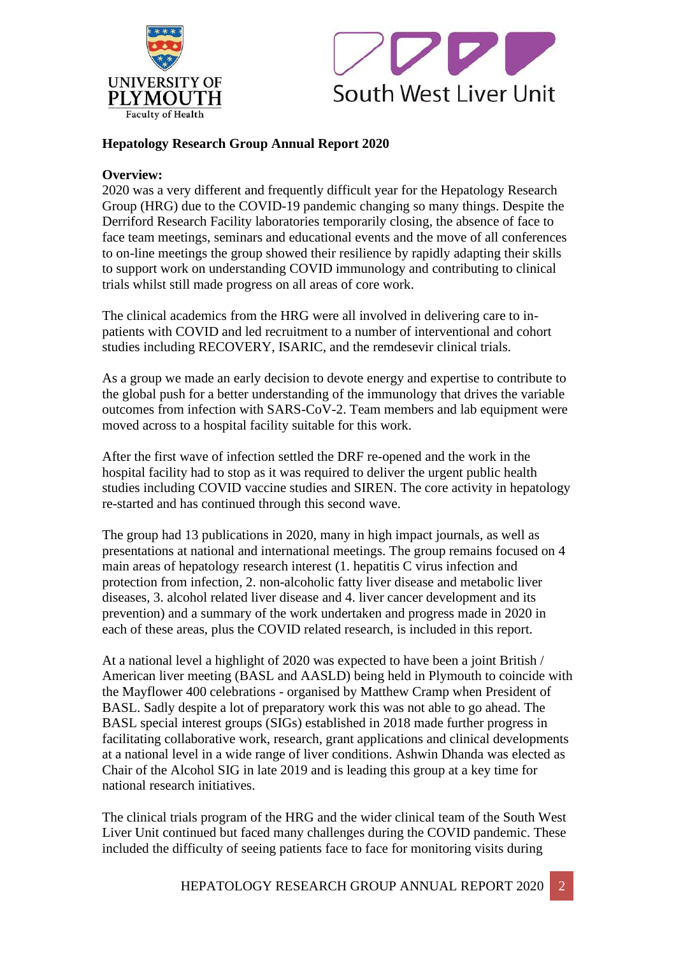



# **Hepatology Research Group Annual Report 2020**

## **Overview:**

2020 was a very different and frequently difficult year for the Hepatology Research Group (HRG) due to the COVID-19 pandemic changing so many things. Despite the Derriford Research Facility laboratories temporarily closing, the absence of face to face team meetings, seminars and educational events and the move of all conferences to on-line meetings the group showed their resilience by rapidly adapting their skills to support work on understanding COVID immunology and contributing to clinical trials whilst still made progress on all areas of core work.

The clinical academics from the HRG were all involved in delivering care to inpatients with COVID and led recruitment to a number of interventional and cohort studies including RECOVERY, ISARIC, and the remdesevir clinical trials.

As a group we made an early decision to devote energy and expertise to contribute to the global push for a better understanding of the immunology that drives the variable outcomes from infection with SARS-CoV-2. Team members and lab equipment were moved across to a hospital facility suitable for this work.

After the first wave of infection settled the DRF re-opened and the work in the hospital facility had to stop as it was required to deliver the urgent public health studies including COVID vaccine studies and SIREN. The core activity in hepatology re-started and has continued through this second wave.

The group had 13 publications in 2020, many in high impact journals, as well as presentations at national and international meetings. The group remains focused on 4 main areas of hepatology research interest (1. hepatitis C virus infection and protection from infection, 2. non-alcoholic fatty liver disease and metabolic liver diseases, 3. alcohol related liver disease and 4. liver cancer development and its prevention) and a summary of the work undertaken and progress made in 2020 in each of these areas, plus the COVID related research, is included in this report.

At a national level a highlight of 2020 was expected to have been a joint British / American liver meeting (BASL and AASLD) being held in Plymouth to coincide with the Mayflower 400 celebrations - organised by Matthew Cramp when President of BASL. Sadly despite a lot of preparatory work this was not able to go ahead. The BASL special interest groups (SIGs) established in 2018 made further progress in facilitating collaborative work, research, grant applications and clinical developments at a national level in a wide range of liver conditions. Ashwin Dhanda was elected as Chair of the Alcohol SIG in late 2019 and is leading this group at a key time for national research initiatives.

The clinical trials program of the HRG and the wider clinical team of the South West Liver Unit continued but faced many challenges during the COVID pandemic. These included the difficulty of seeing patients face to face for monitoring visits during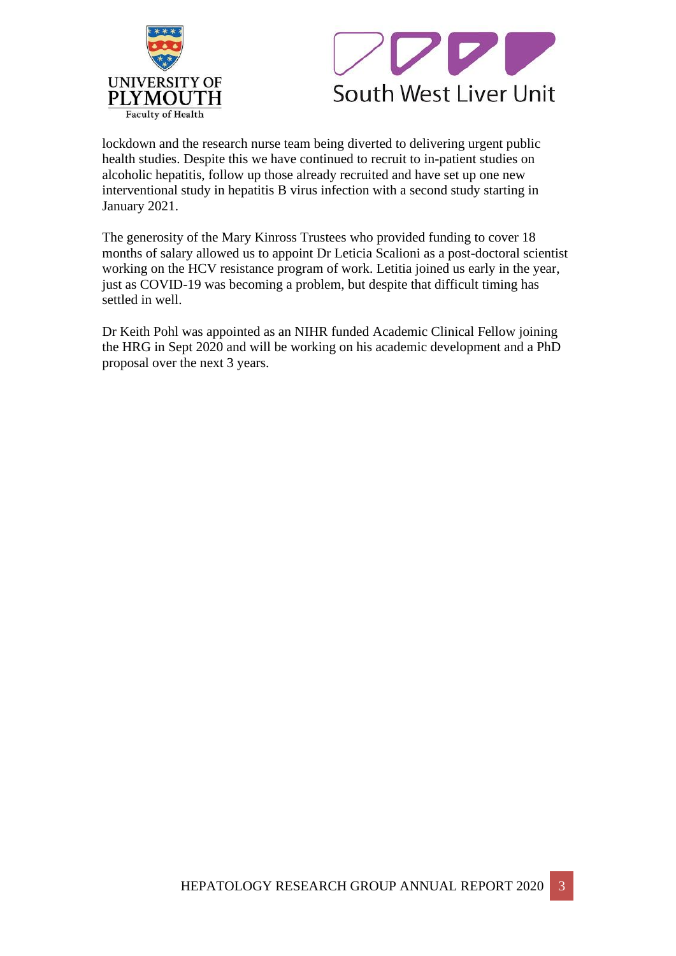



lockdown and the research nurse team being diverted to delivering urgent public health studies. Despite this we have continued to recruit to in-patient studies on alcoholic hepatitis, follow up those already recruited and have set up one new interventional study in hepatitis B virus infection with a second study starting in January 2021.

The generosity of the Mary Kinross Trustees who provided funding to cover 18 months of salary allowed us to appoint Dr Leticia Scalioni as a post-doctoral scientist working on the HCV resistance program of work. Letitia joined us early in the year, just as COVID-19 was becoming a problem, but despite that difficult timing has settled in well.

Dr Keith Pohl was appointed as an NIHR funded Academic Clinical Fellow joining the HRG in Sept 2020 and will be working on his academic development and a PhD proposal over the next 3 years.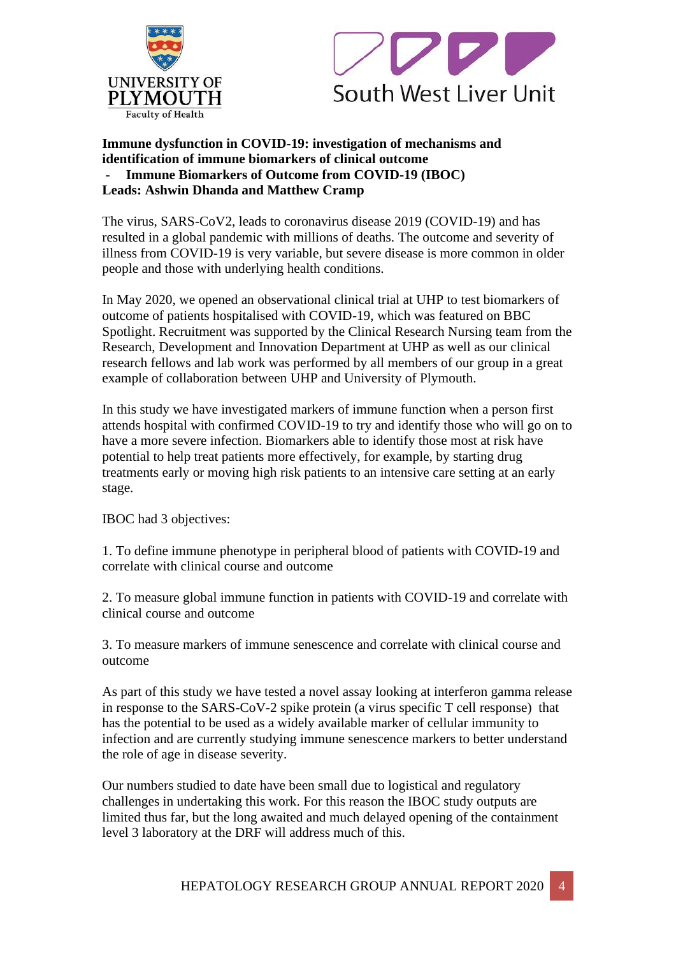



### **Immune dysfunction in COVID-19: investigation of mechanisms and identification of immune biomarkers of clinical outcome** - **Immune Biomarkers of Outcome from COVID-19 (IBOC) Leads: Ashwin Dhanda and Matthew Cramp**

The virus, SARS-CoV2, leads to coronavirus disease 2019 (COVID-19) and has resulted in a global pandemic with millions of deaths. The outcome and severity of illness from COVID-19 is very variable, but severe disease is more common in older people and those with underlying health conditions.

In May 2020, we opened an observational clinical trial at UHP to test biomarkers of outcome of patients hospitalised with COVID-19, which was featured on BBC Spotlight. Recruitment was supported by the Clinical Research Nursing team from the Research, Development and Innovation Department at UHP as well as our clinical research fellows and lab work was performed by all members of our group in a great example of collaboration between UHP and University of Plymouth.

In this study we have investigated markers of immune function when a person first attends hospital with confirmed COVID-19 to try and identify those who will go on to have a more severe infection. Biomarkers able to identify those most at risk have potential to help treat patients more effectively, for example, by starting drug treatments early or moving high risk patients to an intensive care setting at an early stage.

IBOC had 3 objectives:

1. To define immune phenotype in peripheral blood of patients with COVID-19 and correlate with clinical course and outcome

2. To measure global immune function in patients with COVID-19 and correlate with clinical course and outcome

3. To measure markers of immune senescence and correlate with clinical course and outcome

As part of this study we have tested a novel assay looking at interferon gamma release in response to the SARS-CoV-2 spike protein (a virus specific T cell response) that has the potential to be used as a widely available marker of cellular immunity to infection and are currently studying immune senescence markers to better understand the role of age in disease severity.

Our numbers studied to date have been small due to logistical and regulatory challenges in undertaking this work. For this reason the IBOC study outputs are limited thus far, but the long awaited and much delayed opening of the containment level 3 laboratory at the DRF will address much of this.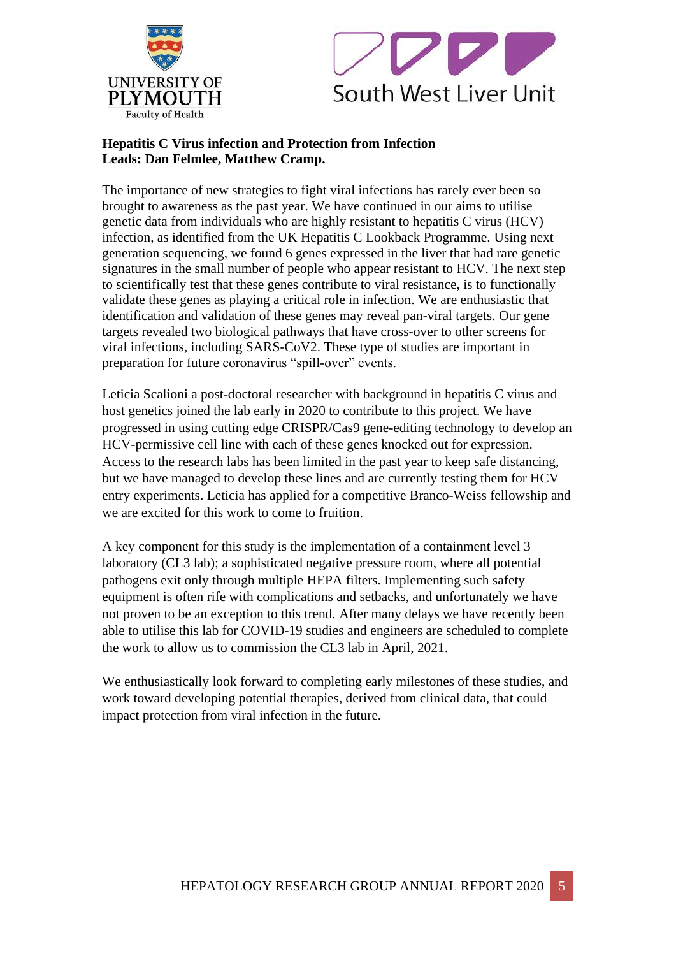



# **Hepatitis C Virus infection and Protection from Infection Leads: Dan Felmlee, Matthew Cramp.**

The importance of new strategies to fight viral infections has rarely ever been so brought to awareness as the past year. We have continued in our aims to utilise genetic data from individuals who are highly resistant to hepatitis C virus (HCV) infection, as identified from the UK Hepatitis C Lookback Programme. Using next generation sequencing, we found 6 genes expressed in the liver that had rare genetic signatures in the small number of people who appear resistant to HCV. The next step to scientifically test that these genes contribute to viral resistance, is to functionally validate these genes as playing a critical role in infection. We are enthusiastic that identification and validation of these genes may reveal pan-viral targets. Our gene targets revealed two biological pathways that have cross-over to other screens for viral infections, including SARS-CoV2. These type of studies are important in preparation for future coronavirus "spill-over" events.

Leticia Scalioni a post-doctoral researcher with background in hepatitis C virus and host genetics joined the lab early in 2020 to contribute to this project. We have progressed in using cutting edge CRISPR/Cas9 gene-editing technology to develop an HCV-permissive cell line with each of these genes knocked out for expression. Access to the research labs has been limited in the past year to keep safe distancing, but we have managed to develop these lines and are currently testing them for HCV entry experiments. Leticia has applied for a competitive Branco-Weiss fellowship and we are excited for this work to come to fruition.

A key component for this study is the implementation of a containment level 3 laboratory (CL3 lab); a sophisticated negative pressure room, where all potential pathogens exit only through multiple HEPA filters. Implementing such safety equipment is often rife with complications and setbacks, and unfortunately we have not proven to be an exception to this trend. After many delays we have recently been able to utilise this lab for COVID-19 studies and engineers are scheduled to complete the work to allow us to commission the CL3 lab in April, 2021.

We enthusiastically look forward to completing early milestones of these studies, and work toward developing potential therapies, derived from clinical data, that could impact protection from viral infection in the future.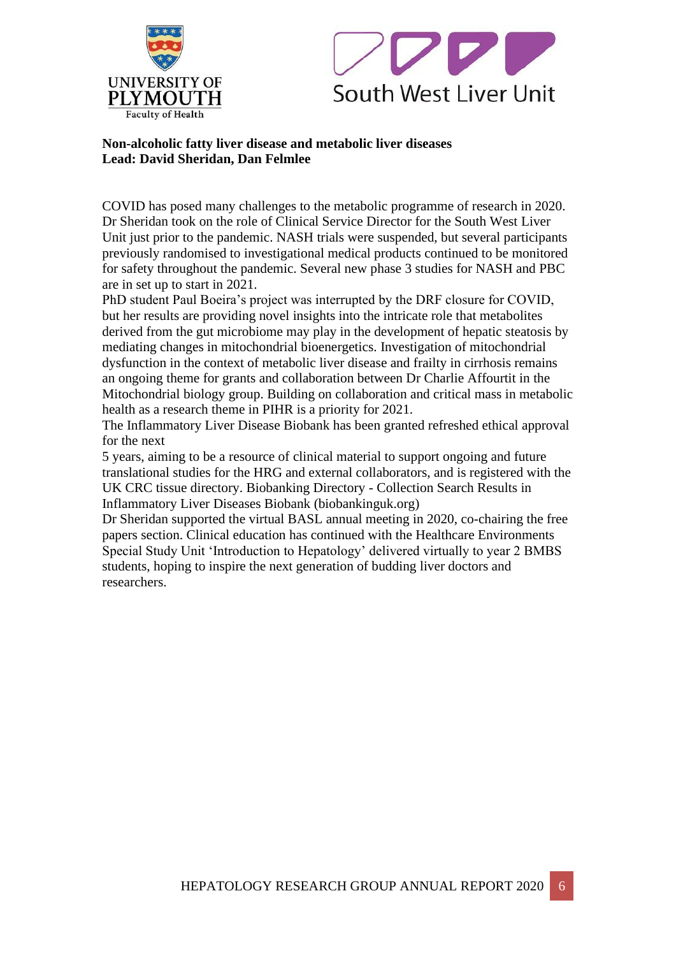



## **Non-alcoholic fatty liver disease and metabolic liver diseases Lead: David Sheridan, Dan Felmlee**

COVID has posed many challenges to the metabolic programme of research in 2020. Dr Sheridan took on the role of Clinical Service Director for the South West Liver Unit just prior to the pandemic. NASH trials were suspended, but several participants previously randomised to investigational medical products continued to be monitored for safety throughout the pandemic. Several new phase 3 studies for NASH and PBC are in set up to start in 2021.

PhD student Paul Boeira's project was interrupted by the DRF closure for COVID, but her results are providing novel insights into the intricate role that metabolites derived from the gut microbiome may play in the development of hepatic steatosis by mediating changes in mitochondrial bioenergetics. Investigation of mitochondrial dysfunction in the context of metabolic liver disease and frailty in cirrhosis remains an ongoing theme for grants and collaboration between Dr Charlie Affourtit in the Mitochondrial biology group. Building on collaboration and critical mass in metabolic health as a research theme in PIHR is a priority for 2021.

The Inflammatory Liver Disease Biobank has been granted refreshed ethical approval for the next

5 years, aiming to be a resource of clinical material to support ongoing and future translational studies for the HRG and external collaborators, and is registered with the UK CRC tissue directory. Biobanking Directory - Collection Search Results in Inflammatory Liver Diseases Biobank (biobankinguk.org)

Dr Sheridan supported the virtual BASL annual meeting in 2020, co-chairing the free papers section. Clinical education has continued with the Healthcare Environments Special Study Unit 'Introduction to Hepatology' delivered virtually to year 2 BMBS students, hoping to inspire the next generation of budding liver doctors and researchers.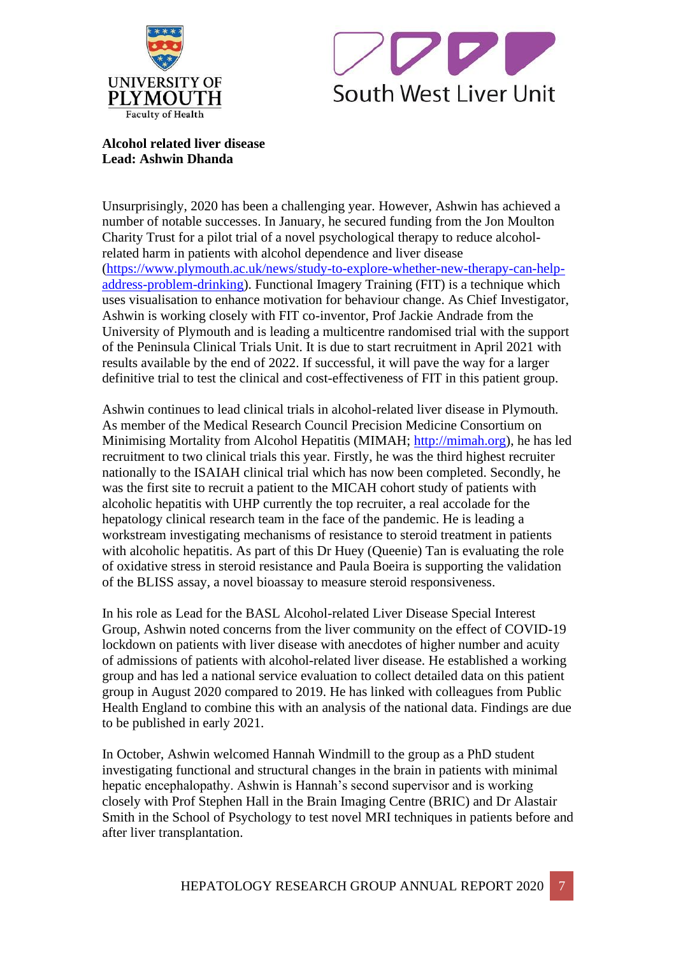



**Alcohol related liver disease Lead: Ashwin Dhanda**

Unsurprisingly, 2020 has been a challenging year. However, Ashwin has achieved a number of notable successes. In January, he secured funding from the Jon Moulton Charity Trust for a pilot trial of a novel psychological therapy to reduce alcoholrelated harm in patients with alcohol dependence and liver disease (https://www.plymouth.ac.uk/news/study-to-explore-whether-new-therapy-can-helpaddress-problem-drinking). Functional Imagery Training (FIT) is a technique which uses visualisation to enhance motivation for behaviour change. As Chief Investigator, Ashwin is working closely with FIT co-inventor, Prof Jackie Andrade from the University of Plymouth and is leading a multicentre randomised trial with the support of the Peninsula Clinical Trials Unit. It is due to start recruitment in April 2021 with results available by the end of 2022. If successful, it will pave the way for a larger definitive trial to test the clinical and cost-effectiveness of FIT in this patient group.

Ashwin continues to lead clinical trials in alcohol-related liver disease in Plymouth. As member of the Medical Research Council Precision Medicine Consortium on Minimising Mortality from Alcohol Hepatitis (MIMAH; http://mimah.org), he has led recruitment to two clinical trials this year. Firstly, he was the third highest recruiter nationally to the ISAIAH clinical trial which has now been completed. Secondly, he was the first site to recruit a patient to the MICAH cohort study of patients with alcoholic hepatitis with UHP currently the top recruiter, a real accolade for the hepatology clinical research team in the face of the pandemic. He is leading a workstream investigating mechanisms of resistance to steroid treatment in patients with alcoholic hepatitis. As part of this Dr Huey (Queenie) Tan is evaluating the role of oxidative stress in steroid resistance and Paula Boeira is supporting the validation of the BLISS assay, a novel bioassay to measure steroid responsiveness.

In his role as Lead for the BASL Alcohol-related Liver Disease Special Interest Group, Ashwin noted concerns from the liver community on the effect of COVID-19 lockdown on patients with liver disease with anecdotes of higher number and acuity of admissions of patients with alcohol-related liver disease. He established a working group and has led a national service evaluation to collect detailed data on this patient group in August 2020 compared to 2019. He has linked with colleagues from Public Health England to combine this with an analysis of the national data. Findings are due to be published in early 2021.

In October, Ashwin welcomed Hannah Windmill to the group as a PhD student investigating functional and structural changes in the brain in patients with minimal hepatic encephalopathy. Ashwin is Hannah's second supervisor and is working closely with Prof Stephen Hall in the Brain Imaging Centre (BRIC) and Dr Alastair Smith in the School of Psychology to test novel MRI techniques in patients before and after liver transplantation.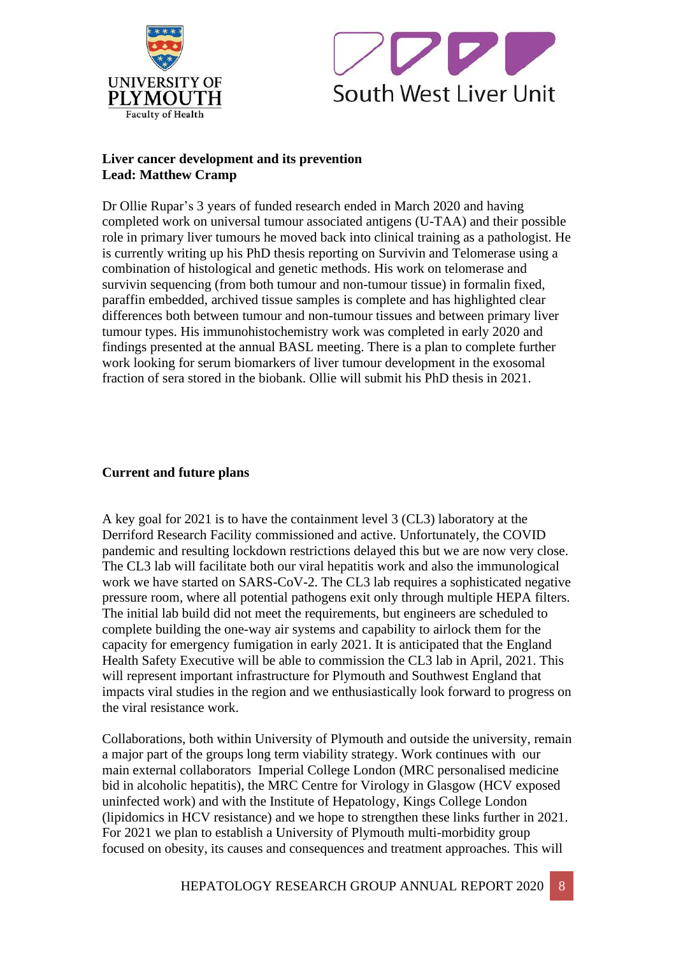



## **Liver cancer development and its prevention Lead: Matthew Cramp**

Dr Ollie Rupar's 3 years of funded research ended in March 2020 and having completed work on universal tumour associated antigens (U-TAA) and their possible role in primary liver tumours he moved back into clinical training as a pathologist. He is currently writing up his PhD thesis reporting on Survivin and Telomerase using a combination of histological and genetic methods. His work on telomerase and survivin sequencing (from both tumour and non-tumour tissue) in formalin fixed, paraffin embedded, archived tissue samples is complete and has highlighted clear differences both between tumour and non-tumour tissues and between primary liver tumour types. His immunohistochemistry work was completed in early 2020 and findings presented at the annual BASL meeting. There is a plan to complete further work looking for serum biomarkers of liver tumour development in the exosomal fraction of sera stored in the biobank. Ollie will submit his PhD thesis in 2021.

# **Current and future plans**

A key goal for 2021 is to have the containment level 3 (CL3) laboratory at the Derriford Research Facility commissioned and active. Unfortunately, the COVID pandemic and resulting lockdown restrictions delayed this but we are now very close. The CL3 lab will facilitate both our viral hepatitis work and also the immunological work we have started on SARS-CoV-2. The CL3 lab requires a sophisticated negative pressure room, where all potential pathogens exit only through multiple HEPA filters. The initial lab build did not meet the requirements, but engineers are scheduled to complete building the one-way air systems and capability to airlock them for the capacity for emergency fumigation in early 2021. It is anticipated that the England Health Safety Executive will be able to commission the CL3 lab in April, 2021. This will represent important infrastructure for Plymouth and Southwest England that impacts viral studies in the region and we enthusiastically look forward to progress on the viral resistance work.

Collaborations, both within University of Plymouth and outside the university, remain a major part of the groups long term viability strategy. Work continues with our main external collaborators Imperial College London (MRC personalised medicine bid in alcoholic hepatitis), the MRC Centre for Virology in Glasgow (HCV exposed uninfected work) and with the Institute of Hepatology, Kings College London (lipidomics in HCV resistance) and we hope to strengthen these links further in 2021. For 2021 we plan to establish a University of Plymouth multi-morbidity group focused on obesity, its causes and consequences and treatment approaches. This will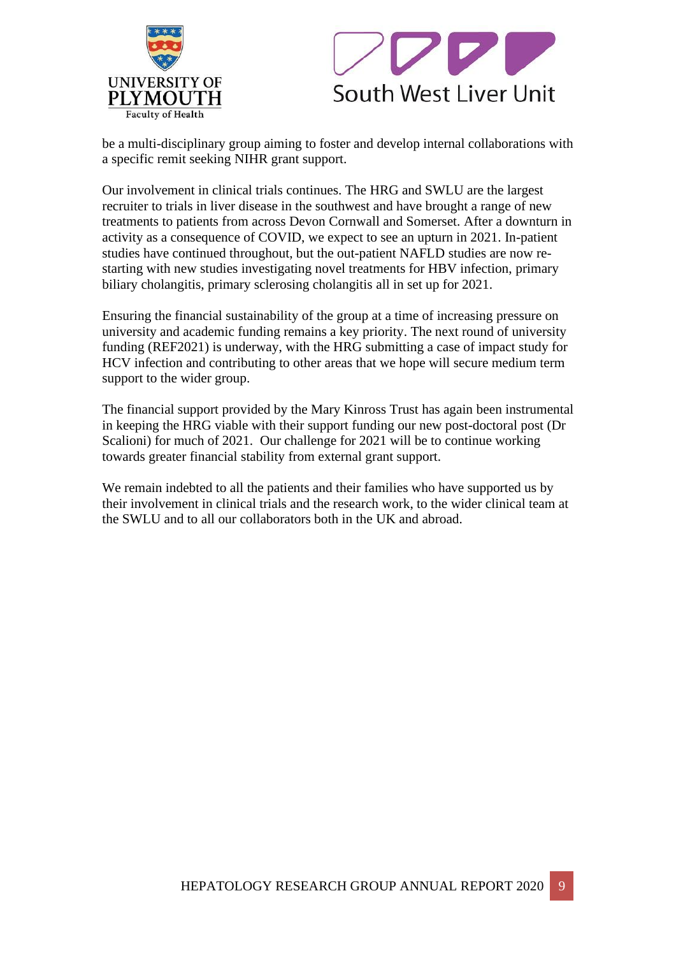



be a multi-disciplinary group aiming to foster and develop internal collaborations with a specific remit seeking NIHR grant support.

Our involvement in clinical trials continues. The HRG and SWLU are the largest recruiter to trials in liver disease in the southwest and have brought a range of new treatments to patients from across Devon Cornwall and Somerset. After a downturn in activity as a consequence of COVID, we expect to see an upturn in 2021. In-patient studies have continued throughout, but the out-patient NAFLD studies are now restarting with new studies investigating novel treatments for HBV infection, primary biliary cholangitis, primary sclerosing cholangitis all in set up for 2021.

Ensuring the financial sustainability of the group at a time of increasing pressure on university and academic funding remains a key priority. The next round of university funding (REF2021) is underway, with the HRG submitting a case of impact study for HCV infection and contributing to other areas that we hope will secure medium term support to the wider group.

The financial support provided by the Mary Kinross Trust has again been instrumental in keeping the HRG viable with their support funding our new post-doctoral post (Dr Scalioni) for much of 2021. Our challenge for 2021 will be to continue working towards greater financial stability from external grant support.

We remain indebted to all the patients and their families who have supported us by their involvement in clinical trials and the research work, to the wider clinical team at the SWLU and to all our collaborators both in the UK and abroad.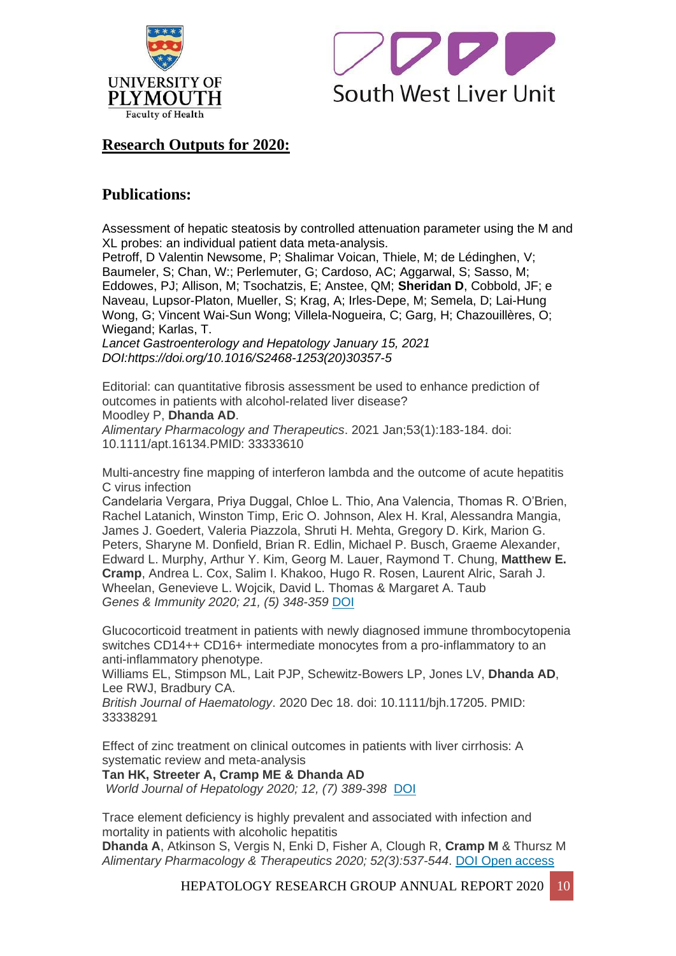



# **Research Outputs for 2020:**

# **Publications:**

Assessment of hepatic steatosis by controlled attenuation parameter using the M and XL probes: an individual patient data meta-analysis.

Petroff, D Valentin Newsome, P; Shalimar Voican, Thiele, M; de Lédinghen, V; Baumeler, S; Chan, W:; Perlemuter, G; Cardoso, AC; Aggarwal, S; Sasso, M; Eddowes, PJ; Allison, M; Tsochatzis, E; Anstee, QM; **Sheridan D**, Cobbold, JF; e Naveau, Lupsor-Platon, Mueller, S; Krag, A; Irles-Depe, M; Semela, D; Lai-Hung Wong, G; Vincent Wai-Sun Wong; Villela-Nogueira, C; Garg, H; Chazouillères, O; Wiegand; Karlas, T.

*Lancet Gastroenterology and Hepatology January 15, 2021 DOI:https://doi.org/10.1016/S2468-1253(20)30357-5*

Editorial: can quantitative fibrosis assessment be used to enhance prediction of outcomes in patients with alcohol-related liver disease?

Moodley P, **Dhanda AD**.

*Alimentary Pharmacology and Therapeutics*. 2021 Jan;53(1):183-184. doi: 10.1111/apt.16134.PMID: 33333610

Multi-ancestry fine mapping of interferon lambda and the outcome of acute hepatitis C virus infection

Candelaria Vergara, Priya Duggal, Chloe L. Thio, Ana Valencia, Thomas R. O'Brien, Rachel Latanich, Winston Timp, Eric O. Johnson, Alex H. Kral, Alessandra Mangia, James J. Goedert, Valeria Piazzola, Shruti H. Mehta, Gregory D. Kirk, Marion G. Peters, Sharyne M. Donfield, Brian R. Edlin, Michael P. Busch, Graeme Alexander, Edward L. Murphy, Arthur Y. Kim, Georg M. Lauer, Raymond T. Chung, **Matthew E. Cramp**, Andrea L. Cox, Salim I. Khakoo, Hugo R. Rosen, Laurent Alric, Sarah J. Wheelan, Genevieve L. Wojcik, David L. Thomas & Margaret A. Taub *Genes & Immunity 2020; 21, (5) 348-359* [DOI](about:blank)

Glucocorticoid treatment in patients with newly diagnosed immune thrombocytopenia switches CD14++ CD16+ intermediate monocytes from a pro-inflammatory to an anti-inflammatory phenotype.

Williams EL, Stimpson ML, Lait PJP, Schewitz-Bowers LP, Jones LV, **Dhanda AD**, Lee RWJ, Bradbury CA.

*British Journal of Haematology*. 2020 Dec 18. doi: 10.1111/bjh.17205. PMID: 33338291

Effect of zinc treatment on clinical outcomes in patients with liver cirrhosis: A systematic review and meta-analysis

**Tan HK, Streeter A, Cramp ME & Dhanda AD**

*World Journal of Hepatology 2020; 12, (7) 389-398* [DOI](about:blank)

Trace element deficiency is highly prevalent and associated with infection and mortality in patients with alcoholic hepatitis **Dhanda A**, Atkinson S, Vergis N, Enki D, Fisher A, Clough R, **Cramp M** & Thursz M

*Alimentary Pharmacology & Therapeutics 2020; 52(3):537-544*. [DOI](about:blank) [Open access](about:blank)

HEPATOLOGY RESEARCH GROUP ANNUAL REPORT 2020 | 10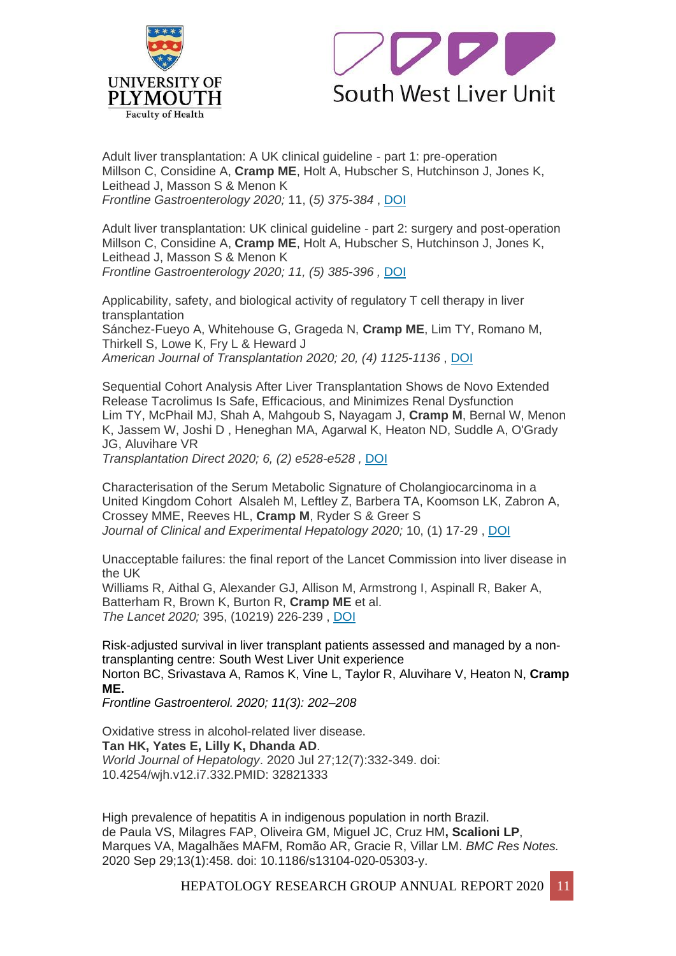



Adult liver transplantation: A UK clinical guideline - part 1: pre-operation Millson C, Considine A, **Cramp ME**, Holt A, Hubscher S, Hutchinson J, Jones K, Leithead J, Masson S & Menon K *Frontline Gastroenterology 2020;* 11, (*5) 375-384* , [DOI](about:blank)

Adult liver transplantation: UK clinical guideline - part 2: surgery and post-operation Millson C, Considine A, **Cramp ME**, Holt A, Hubscher S, Hutchinson J, Jones K, Leithead J, Masson S & Menon K *Frontline Gastroenterology 2020; 11, (5) 385-396 ,* [DOI](about:blank)

Applicability, safety, and biological activity of regulatory T cell therapy in liver transplantation Sánchez-Fueyo A, Whitehouse G, Grageda N, **Cramp ME**, Lim TY, Romano M, Thirkell S, Lowe K, Fry L & Heward J *American Journal of Transplantation 2020; 20, (4) 1125-1136* , [DOI](about:blank)

Sequential Cohort Analysis After Liver Transplantation Shows de Novo Extended Release Tacrolimus Is Safe, Efficacious, and Minimizes Renal Dysfunction Lim TY, McPhail MJ, Shah A, Mahgoub S, Nayagam J, **Cramp M**, Bernal W, Menon K, Jassem W, Joshi D , Heneghan MA, Agarwal K, Heaton ND, Suddle A, O'Grady JG, Aluvihare VR

*Transplantation Direct 2020; 6, (2) e528-e528 ,* [DOI](about:blank)

Characterisation of the Serum Metabolic Signature of Cholangiocarcinoma in a United Kingdom Cohort Alsaleh M, Leftley Z, Barbera TA, Koomson LK, Zabron A, Crossey MME, Reeves HL, **Cramp M**, Ryder S & Greer S *Journal of Clinical and Experimental Hepatology 2020;* 10, (1) 17-29 , [DOI](about:blank)

Unacceptable failures: the final report of the Lancet Commission into liver disease in the UK

Williams R, Aithal G, Alexander GJ, Allison M, Armstrong I, Aspinall R, Baker A, Batterham R, Brown K, Burton R, **Cramp ME** et al. *The Lancet 2020;* 395, (10219) 226-239 , [DOI](about:blank)

[Risk-adjusted survival in liver transplant patients assessed and managed by a non](about:blank)[transplanting centre: South West Liver Unit experience](about:blank) Norton BC, Srivastava A, Ramos K, Vine L, Taylor R, Aluvihare V, Heaton N, **Cramp ME.**

*Frontline Gastroenterol. 2020; 11(3): 202–208*

Oxidative stress in alcohol-related liver disease. **Tan HK, Yates E, Lilly K, Dhanda AD**. *World Journal of Hepatology*. 2020 Jul 27;12(7):332-349. doi: 10.4254/wjh.v12.i7.332.PMID: 32821333

High prevalence of hepatitis A in indigenous population in north Brazil. de Paula VS, Milagres FAP, Oliveira GM, Miguel JC, Cruz HM**, Scalioni LP**, Marques VA, Magalhães MAFM, Romão AR, Gracie R, Villar LM. *BMC Res Notes.* 2020 Sep 29;13(1):458. doi: 10.1186/s13104-020-05303-y.

HEPATOLOGY RESEARCH GROUP ANNUAL REPORT 2020 11